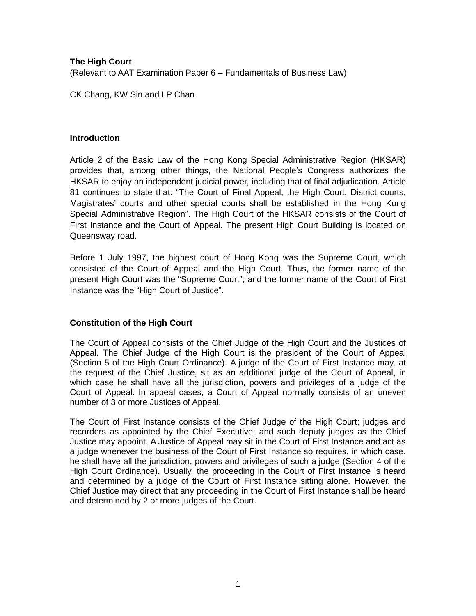# **The High Court** (Relevant to AAT Examination Paper 6 – Fundamentals of Business Law)

CK Chang, KW Sin and LP Chan

## **Introduction**

Article 2 of the Basic Law of the Hong Kong Special Administrative Region (HKSAR) provides that, among other things, the National People's Congress authorizes the HKSAR to enjoy an independent judicial power, including that of final adjudication. Article 81 continues to state that: "The Court of Final Appeal, the High Court, District courts, Magistrates' courts and other special courts shall be established in the Hong Kong Special Administrative Region". The High Court of the HKSAR consists of the Court of First Instance and the Court of Appeal. The present High Court Building is located on Queensway road.

Before 1 July 1997, the highest court of Hong Kong was the Supreme Court, which consisted of the Court of Appeal and the High Court. Thus, the former name of the present High Court was the "Supreme Court"; and the former name of the Court of First Instance was the "High Court of Justice".

# **Constitution of the High Court**

The Court of Appeal consists of the Chief Judge of the High Court and the Justices of Appeal. The Chief Judge of the High Court is the president of the Court of Appeal (Section 5 of the High Court Ordinance). A judge of the Court of First Instance may, at the request of the Chief Justice, sit as an additional judge of the Court of Appeal, in which case he shall have all the jurisdiction, powers and privileges of a judge of the Court of Appeal. In appeal cases, a Court of Appeal normally consists of an uneven number of 3 or more Justices of Appeal.

The Court of First Instance consists of the Chief Judge of the High Court; judges and recorders as appointed by the Chief Executive; and such deputy judges as the Chief Justice may appoint. A Justice of Appeal may sit in the Court of First Instance and act as a judge whenever the business of the Court of First Instance so requires, in which case, he shall have all the jurisdiction, powers and privileges of such a judge (Section 4 of the High Court Ordinance). Usually, the proceeding in the Court of First Instance is heard and determined by a judge of the Court of First Instance sitting alone. However, the Chief Justice may direct that any proceeding in the Court of First Instance shall be heard and determined by 2 or more judges of the Court.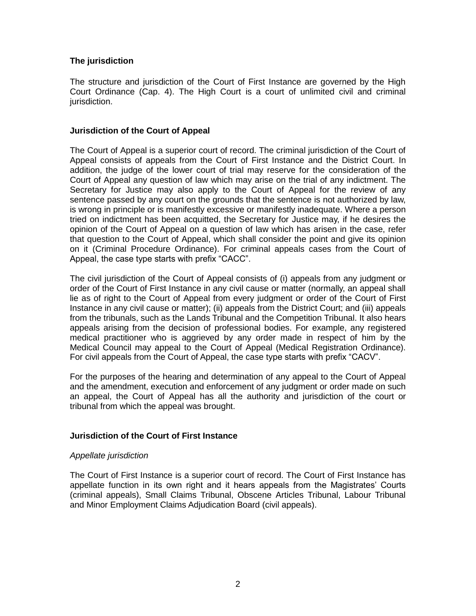## **The jurisdiction**

The structure and jurisdiction of the Court of First Instance are governed by the High Court Ordinance (Cap. 4). The High Court is a court of unlimited civil and criminal jurisdiction.

### **Jurisdiction of the Court of Appeal**

The Court of Appeal is a superior court of record. The criminal jurisdiction of the Court of Appeal consists of appeals from the Court of First Instance and the District Court. In addition, the judge of the lower court of trial may reserve for the consideration of the Court of Appeal any question of law which may arise on the trial of any indictment. The Secretary for Justice may also apply to the Court of Appeal for the review of any sentence passed by any court on the grounds that the sentence is not authorized by law, is wrong in principle or is manifestly excessive or manifestly inadequate. Where a person tried on indictment has been acquitted, the Secretary for Justice may, if he desires the opinion of the Court of Appeal on a question of law which has arisen in the case, refer that question to the Court of Appeal, which shall consider the point and give its opinion on it (Criminal Procedure Ordinance). For criminal appeals cases from the Court of Appeal, the case type starts with prefix "CACC".

The civil jurisdiction of the Court of Appeal consists of (i) appeals from any judgment or order of the Court of First Instance in any civil cause or matter (normally, an appeal shall lie as of right to the Court of Appeal from every judgment or order of the Court of First Instance in any civil cause or matter); (ii) appeals from the District Court; and (iii) appeals from the tribunals, such as the Lands Tribunal and the Competition Tribunal. It also hears appeals arising from the decision of professional bodies. For example, any registered medical practitioner who is aggrieved by any order made in respect of him by the Medical Council may appeal to the Court of Appeal (Medical Registration Ordinance). For civil appeals from the Court of Appeal, the case type starts with prefix "CACV".

For the purposes of the hearing and determination of any appeal to the Court of Appeal and the amendment, execution and enforcement of any judgment or order made on such an appeal, the Court of Appeal has all the authority and jurisdiction of the court or tribunal from which the appeal was brought.

## **Jurisdiction of the Court of First Instance**

#### *Appellate jurisdiction*

The Court of First Instance is a superior court of record. The Court of First Instance has appellate function in its own right and it hears appeals from the Magistrates' Courts (criminal appeals), Small Claims Tribunal, Obscene Articles Tribunal, Labour Tribunal and Minor Employment Claims Adjudication Board (civil appeals).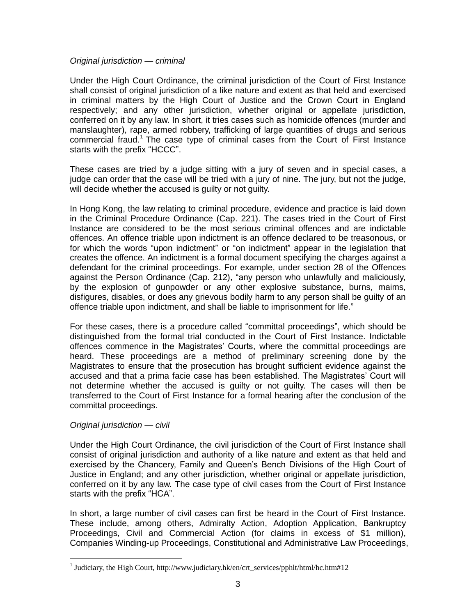### *Original jurisdiction — criminal*

Under the High Court Ordinance, the criminal jurisdiction of the Court of First Instance shall consist of original jurisdiction of a like nature and extent as that held and exercised in criminal matters by the High Court of Justice and the Crown Court in England respectively; and any other jurisdiction, whether original or appellate jurisdiction, conferred on it by any law. In short, it tries cases such as homicide offences (murder and manslaughter), rape, armed robbery, trafficking of large quantities of drugs and serious commercial fraud.<sup>1</sup> The case type of criminal cases from the Court of First Instance starts with the prefix "HCCC".

These cases are tried by a judge sitting with a jury of seven and in special cases, a judge can order that the case will be tried with a jury of nine. The jury, but not the judge, will decide whether the accused is guilty or not guilty.

In Hong Kong, the law relating to criminal procedure, evidence and practice is laid down in the Criminal Procedure Ordinance (Cap. 221). The cases tried in the Court of First Instance are considered to be the most serious criminal offences and are indictable offences. An offence triable upon indictment is an offence declared to be treasonous, or for which the words "upon indictment" or "on indictment" appear in the legislation that creates the offence. An indictment is a formal document specifying the charges against a defendant for the criminal proceedings. For example, under section 28 of the Offences against the Person Ordinance (Cap. 212), "any person who unlawfully and maliciously, by the explosion of gunpowder or any other explosive substance, burns, maims, disfigures, disables, or does any grievous bodily harm to any person shall be guilty of an offence triable upon indictment, and shall be liable to imprisonment for life."

For these cases, there is a procedure called "committal proceedings", which should be distinguished from the formal trial conducted in the Court of First Instance. Indictable offences commence in the Magistrates' Courts, where the committal proceedings are heard. These proceedings are a method of preliminary screening done by the Magistrates to ensure that the prosecution has brought sufficient evidence against the accused and that a prima facie case has been established. The Magistrates' Court will not determine whether the accused is guilty or not guilty. The cases will then be transferred to the Court of First Instance for a formal hearing after the conclusion of the committal proceedings.

## *Original jurisdiction — civil*

 $\overline{a}$ 

Under the High Court Ordinance, the civil jurisdiction of the Court of First Instance shall consist of original jurisdiction and authority of a like nature and extent as that held and exercised by the Chancery, Family and Queen's Bench Divisions of the High Court of Justice in England; and any other jurisdiction, whether original or appellate jurisdiction, conferred on it by any law. The case type of civil cases from the Court of First Instance starts with the prefix "HCA".

In short, a large number of civil cases can first be heard in the Court of First Instance. These include, among others, Admiralty Action, Adoption Application, Bankruptcy Proceedings, Civil and Commercial Action (for claims in excess of \$1 million), Companies Winding-up Proceedings, Constitutional and Administrative Law Proceedings,

<sup>&</sup>lt;sup>1</sup> Judiciary, the High Court, http://www.judiciary.hk/en/crt\_services/pphlt/html/hc.htm#12